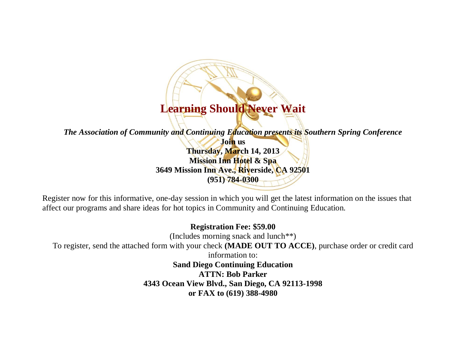# **Learning Should Never Wait**

*The Association of Community and Continuing Education presents its Southern Spring Conference*

**Join us Thursday, March 14, 2013 Mission Inn Hotel & Spa 3649 Mission Inn Ave., Riverside, CA 92501 (951) 784-0300**

Register now for this informative, one-day session in which you will get the latest information on the issues that affect our programs and share ideas for hot topics in Community and Continuing Education.

**Registration Fee: \$59.00** (Includes morning snack and lunch\*\*) To register, send the attached form with your check **(MADE OUT TO ACCE)**, purchase order or credit card information to: **Sand Diego Continuing Education ATTN: Bob Parker 4343 Ocean View Blvd., San Diego, CA 92113-1998 or FAX to (619) 388-4980**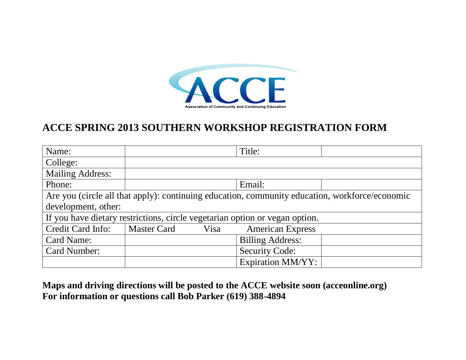

## **ACCE SPRING 2013 SOUTHERN WORKSHOP REGISTRATION FORM**

| Name:                                                                                          |                    |      | Title:                   |  |
|------------------------------------------------------------------------------------------------|--------------------|------|--------------------------|--|
| College:                                                                                       |                    |      |                          |  |
| <b>Mailing Address:</b>                                                                        |                    |      |                          |  |
| Phone:                                                                                         |                    |      | Email:                   |  |
| Are you (circle all that apply): continuing education, community education, workforce/economic |                    |      |                          |  |
| development, other:                                                                            |                    |      |                          |  |
| If you have dietary restrictions, circle vegetarian option or vegan option.                    |                    |      |                          |  |
| Credit Card Info:                                                                              | <b>Master Card</b> | Visa | <b>American Express</b>  |  |
| Card Name:                                                                                     |                    |      | <b>Billing Address:</b>  |  |
| Card Number:                                                                                   |                    |      | <b>Security Code:</b>    |  |
|                                                                                                |                    |      | <b>Expiration MM/YY:</b> |  |

**Maps and driving directions will be posted to the ACCE website soon (acceonline.org) For information or questions call Bob Parker (619) 388-4894**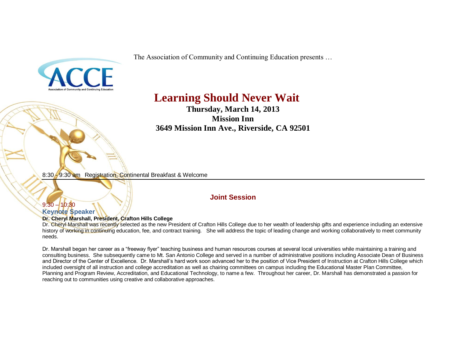The Association of Community and Continuing Education presents …



# **Learning Should Never Wait**

**Thursday, March 14, 2013 Mission Inn 3649 Mission Inn Ave., Riverside, CA 92501**

8:30 - 9:30 am Registration, Continental Breakfast & Welcome

## **Joint Session**

## $9:30 - 10:30$ **Keynote Speaker**

## **Dr. Cheryl Marshall, President, Crafton Hills College**

Dr. Cheryl-Marshall was recently selected as the new President of Crafton Hills College due to her wealth of leadership gifts and experience including an extensive history of working in continuing education, fee, and contract training. She will address the topic of leading change and working collaboratively to meet community needs.

Dr. Marshall began her career as a "freeway flyer" teaching business and human resources courses at several local universities while maintaining a training and consulting business. She subsequently came to Mt. San Antonio College and served in a number of administrative positions including Associate Dean of Business and Director of the Center of Excellence. Dr. Marshall's hard work soon advanced her to the position of Vice President of Instruction at Crafton Hills College which included oversight of all instruction and college accreditation as well as chairing committees on campus including the Educational Master Plan Committee, Planning and Program Review, Accreditation, and Educational Technology, to name a few. Throughout her career, Dr. Marshall has demonstrated a passion for reaching out to communities using creative and collaborative approaches.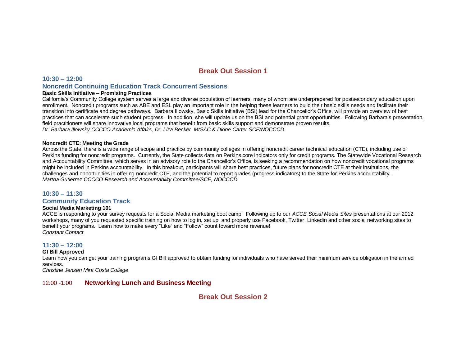## **Break Out Session 1**

## **10:30 – 12:00 Noncredit Continuing Education Track Concurrent Sessions**

#### **Basic Skills Initiative – Promising Practices**

California's Community College system serves a large and diverse population of learners, many of whom are underprepared for postsecondary education upon enrollment. Noncredit programs such as ABE and ESL play an important role in the helping these learners to build their basic skills needs and facilitate their transition into certificate and degree pathways. Barbara Illowsky, Basic Skills Initiative (BSI) lead for the Chancellor's Office, will provide an overview of best practices that can accelerate such student progress. In addition, she will update us on the BSI and potential grant opportunities. Following Barbara's presentation, field practitioners will share innovative local programs that benefit from basic skills support and demonstrate proven results. *Dr. Barbara Illowsky CCCCO Academic Affairs, Dr. Liza Becker MtSAC & Dione Carter SCE/NOCCCD*

### **Noncredit CTE: Meeting the Grade**

Across the State, there is a wide range of scope and practice by community colleges in offering noncredit career technical education (CTE), including use of Perkins funding for noncredit programs. Currently, the State collects data on Perkins core indicators only for credit programs. The Statewide Vocational Research and Accountability Committee, which serves in an advisory role to the Chancellor's Office, is seeking a recommendation on how noncredit vocational programs might be included in Perkins accountability. In this breakout, participants will share best practices, future plans for noncredit CTE at their institutions, the challenges and opportunities in offering noncredit CTE, and the potential to report grades (progress indicators) to the State for Perkins accountability. *Martha Gutierrez CCCCO Research and Accountability Committee/SCE, NOCCCD*

## **10:30 – 11:30 Community Education Track**

## **Social Media Marketing 101**

ACCE is responding to your survey requests for a Social Media marketing boot camp! Following up to our *ACCE Social Media Sites* presentations at our 2012 workshops, many of you requested specific training on how to log in, set up, and properly use Facebook, Twitter, Linkedin and other social networking sites to benefit your programs. Learn how to make every "Like" and "Follow" count toward more revenue! *Constant Contact*

## **11:30 – 12:00**

## **GI Bill Approved**

Learn how you can get your training programs GI Bill approved to obtain funding for individuals who have served their minimum service obligation in the armed services.

*Christine Jensen Mira Costa College*

## 12:00 -1:00 **Networking Lunch and Business Meeting**

**Break Out Session 2**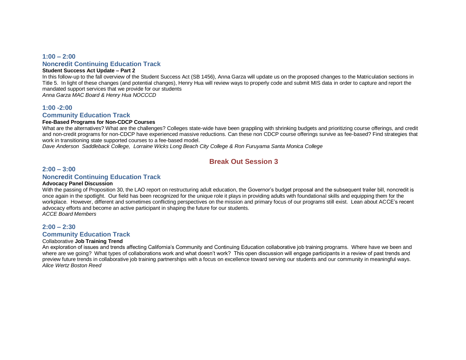## **1:00 – 2:00 Noncredit Continuing Education Track**

#### **Student Success Act Update – Part 2**

In this follow-up to the fall overview of the Student Success Act (SB 1456), Anna Garza will update us on the proposed changes to the Matriculation sections in Title 5. In light of these changes (and potential changes), Henry Hua will review ways to properly code and submit MIS data in order to capture and report the mandated support services that we provide for our students

*Anna Garza MAC Board & Henry Hua NOCCCD* 

## **1:00 -2:00**

## **Community Education Track**

### **Fee-Based Programs for Non-CDCP Courses**

What are the alternatives? What are the challenges? Colleges state-wide have been grappling with shrinking budgets and prioritizing course offerings, and credit and non-credit programs for non-CDCP have experienced massive reductions. Can these non CDCP course offerings survive as fee-based? Find strategies that work in transitioning state supported courses to a fee-based model.

*Dave Anderson Saddleback College, Lorraine Wicks Long Beach City College & Ron Furuyama Santa Monica College* 

## **Break Out Session 3**

## **2:00 – 3:00**

## **Noncredit Continuing Education Track**

#### **Advocacy Panel Discussion**

With the passing of Proposition 30, the LAO report on restructuring adult education, the Governor's budget proposal and the subsequent trailer bill, noncredit is once again in the spotlight. Our field has been recognized for the unique role it plays in providing adults with foundational skills and equipping them for the workplace. However, different and sometimes conflicting perspectives on the mission and primary focus of our programs still exist. Lean about ACCE's recent advocacy efforts and become an active participant in shaping the future for our students. *ACCE Board Members* 

## **2:00 – 2:30**

## **Community Education Track**

#### Collaborative **Job Training Trend**

An exploration of issues and trends affecting California's Community and Continuing Education collaborative job training programs. Where have we been and where are we going? What types of collaborations work and what doesn't work? This open discussion will engage participants in a review of past trends and preview future trends in collaborative job training partnerships with a focus on excellence toward serving our students and our community in meaningful ways. *Alice Wertz Boston Reed*